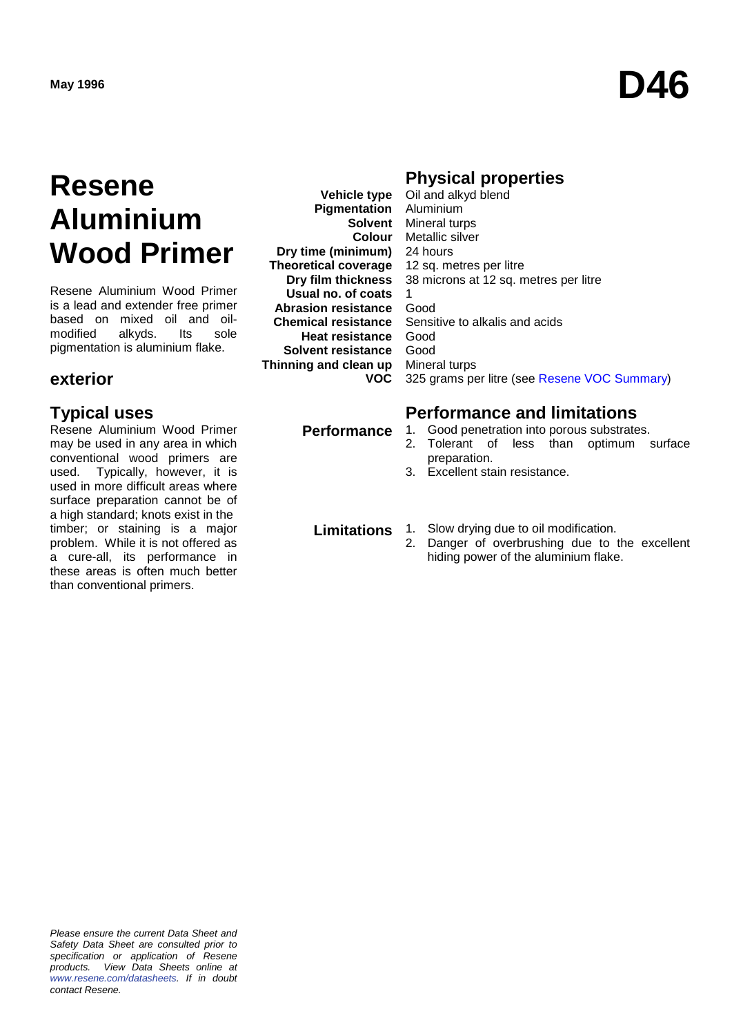## **Resene Aluminium Wood Primer**

Resene Aluminium Wood Primer is a lead and extender free primer based on mixed oil and oil-<br>modified alkyds. Its sole modified pigmentation is aluminium flake.

### **exterior**

Resene Aluminium Wood Primer may be used in any area in which conventional wood primers are used. Typically, however, it is used in more difficult areas where surface preparation cannot be of a high standard; knots exist in the timber; or staining is a major problem. While it is not offered as a cure-all, its performance in these areas is often much better than conventional primers.

**Vehicle type Pigmentation Dry time (minimum) Theoretical coverage Dry film thickness Usual no. of coats Abrasion resistance Chemical resistance Heat resistance** Good **Solvent resistance Thinning and clean up VOC**

## **Physical properties**

**Solvent** Mineral turps **Colour** Metallic silver Oil and alkyd blend Aluminium 24 hours 12 sq. metres per litre 38 microns at 12 sq. metres per litre 1 Good Sensitive to alkalis and acids Good Mineral turps 325 grams per litre (see [Resene VOC Summary\)](http://www.resene.co.nz/archspec/datashts/vocsummary.pdf)

## **Typical uses Performance and limitations**

- **Performance** 1. Good penetration into porous substrates.
	- 2. Tolerant of less than optimum surface preparation.
	- 3. Excellent stain resistance.

- **Limitations** 1. Slow drying due to oil modification.<br>2. Danger of overbrushing due to
	- Danger of overbrushing due to the excellent hiding power of the aluminium flake.

*Please ensure the current Data Sheet and Safety Data Sheet are consulted prior to specification or application of Resene products. View Data Sheets online at [www.resene.com/datasheets.](http://www.resene.com/datasheets) If in doubt contact Resene.*